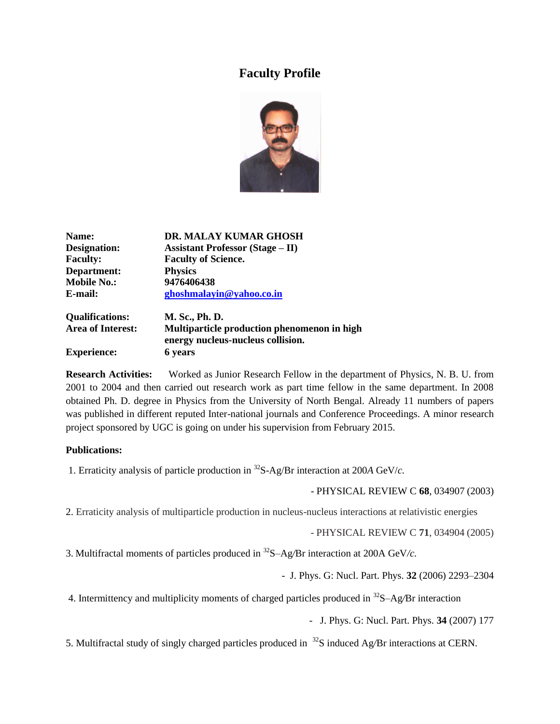## **Faculty Profile**



| Name:                    | DR. MALAY KUMAR GHOSH                                                            |
|--------------------------|----------------------------------------------------------------------------------|
| Designation:             | <b>Assistant Professor (Stage – II)</b>                                          |
| <b>Faculty:</b>          | <b>Faculty of Science.</b>                                                       |
| Department:              | <b>Physics</b>                                                                   |
| <b>Mobile No.:</b>       | 9476406438                                                                       |
| E-mail:                  | ghoshmalayin@yahoo.co.in                                                         |
| <b>Qualifications:</b>   | M. Sc., Ph. D.                                                                   |
| <b>Area of Interest:</b> | Multiparticle production phenomenon in high<br>energy nucleus-nucleus collision. |

**Experience: 6 years**

**Research Activities:** Worked as Junior Research Fellow in the department of Physics, N. B. U. from 2001 to 2004 and then carried out research work as part time fellow in the same department. In 2008 obtained Ph. D. degree in Physics from the University of North Bengal. Already 11 numbers of papers was published in different reputed Inter-national journals and Conference Proceedings. A minor research project sponsored by UGC is going on under his supervision from February 2015.

## **Publications:**

1. Erraticity analysis of particle production in <sup>32</sup>S-Ag/Br interaction at 200*A* GeV/*c.*

- PHYSICAL REVIEW C **68**, 034907 (2003)

2. Erraticity analysis of multiparticle production in nucleus-nucleus interactions at relativistic energies

- PHYSICAL REVIEW C **71**, 034904 (2005)

3. Multifractal moments of particles produced in <sup>32</sup>S–Ag*/*Br interaction at 200A GeV*/c.*

- J. Phys. G: Nucl. Part. Phys. **32** (2006) 2293–2304

4. Intermittency and multiplicity moments of charged particles produced in <sup>32</sup>S–Ag*/*Br interaction

- J. Phys. G: Nucl. Part. Phys. **34** (2007) 177

5. Multifractal study of singly charged particles produced in <sup>32</sup>S induced Ag*/*Br interactions at CERN.